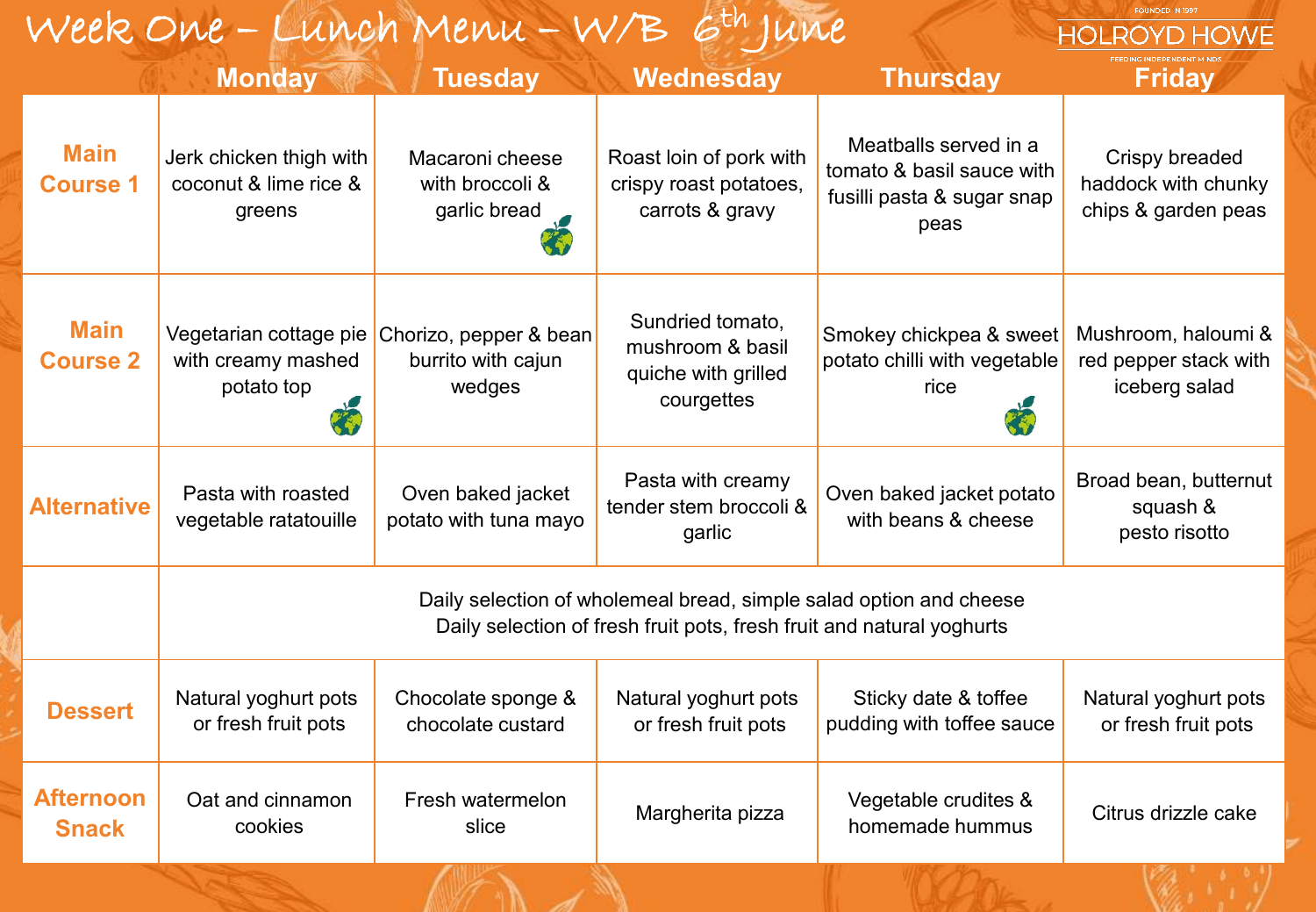| Week One - Lunch Menu - W/B 6th June<br><b>HOLROYD HOWE</b> |                                                                                                                                             |                                                        |                                                                           |                                                                                          |                                                               |  |  |
|-------------------------------------------------------------|---------------------------------------------------------------------------------------------------------------------------------------------|--------------------------------------------------------|---------------------------------------------------------------------------|------------------------------------------------------------------------------------------|---------------------------------------------------------------|--|--|
|                                                             | <b>Monday</b>                                                                                                                               | <b>Tuesday</b>                                         | Wednesday                                                                 | <b>Thursday</b>                                                                          | <b>Friday</b>                                                 |  |  |
| <b>Main</b><br><b>Course 1</b>                              | Jerk chicken thigh with<br>coconut & lime rice &<br>greens                                                                                  | Macaroni cheese<br>with broccoli &<br>garlic bread     | Roast loin of pork with<br>crispy roast potatoes,<br>carrots & gravy      | Meatballs served in a<br>tomato & basil sauce with<br>fusilli pasta & sugar snap<br>peas | Crispy breaded<br>haddock with chunky<br>chips & garden peas  |  |  |
| <b>Main</b><br><b>Course 2</b>                              | Vegetarian cottage pie<br>with creamy mashed<br>potato top                                                                                  | Chorizo, pepper & bean<br>burrito with cajun<br>wedges | Sundried tomato,<br>mushroom & basil<br>quiche with grilled<br>courgettes | Smokey chickpea & sweet<br>potato chilli with vegetable<br>rice                          | Mushroom, haloumi &<br>red pepper stack with<br>iceberg salad |  |  |
| <b>Alternative</b>                                          | Pasta with roasted<br>vegetable ratatouille                                                                                                 | Oven baked jacket<br>potato with tuna mayo             | Pasta with creamy<br>tender stem broccoli &<br>garlic                     | Oven baked jacket potato<br>with beans & cheese                                          | Broad bean, butternut<br>squash &<br>pesto risotto            |  |  |
|                                                             | Daily selection of wholemeal bread, simple salad option and cheese<br>Daily selection of fresh fruit pots, fresh fruit and natural yoghurts |                                                        |                                                                           |                                                                                          |                                                               |  |  |
| <b>Dessert</b>                                              | Natural yoghurt pots<br>or fresh fruit pots                                                                                                 | Chocolate sponge &<br>chocolate custard                | Natural yoghurt pots<br>or fresh fruit pots                               | Sticky date & toffee<br>pudding with toffee sauce                                        | Natural yoghurt pots<br>or fresh fruit pots                   |  |  |
| <b>Afternoon</b><br><b>Snack</b>                            | Oat and cinnamon<br>cookies                                                                                                                 | Fresh watermelon<br>slice                              | Margherita pizza                                                          | Vegetable crudites &<br>homemade hummus                                                  | Citrus drizzle cake                                           |  |  |
|                                                             |                                                                                                                                             |                                                        |                                                                           |                                                                                          |                                                               |  |  |

FOUNDED IN 1997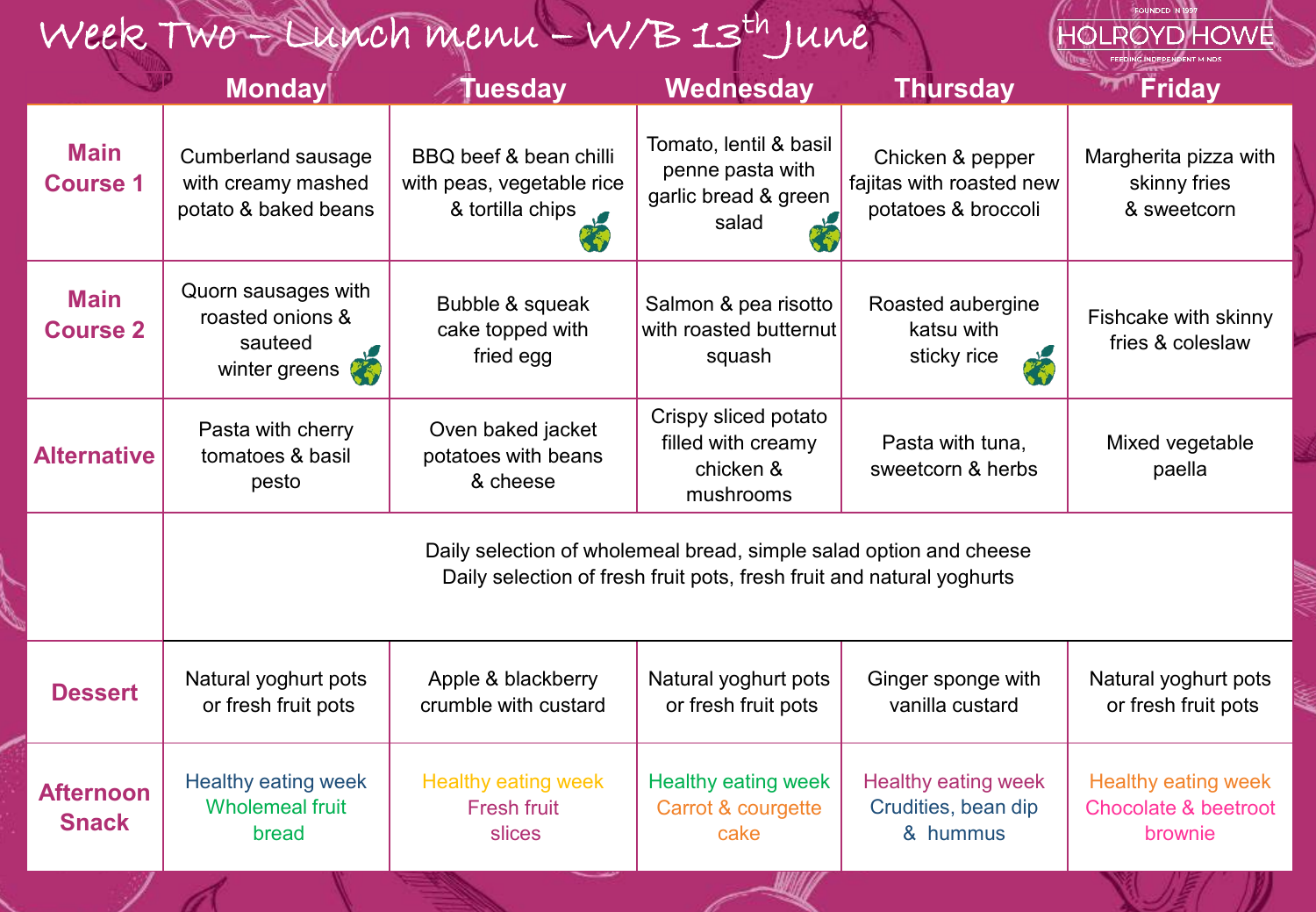## Week Two – Lunch menu – W/B 13th June

|                                  | <b>Monday</b>                                                                                                                               | <b>Tuesday</b>                                                            | <b>Wednesday</b>                                                            | <b>Thursday</b>                                                     | Friday                                                                   |  |  |
|----------------------------------|---------------------------------------------------------------------------------------------------------------------------------------------|---------------------------------------------------------------------------|-----------------------------------------------------------------------------|---------------------------------------------------------------------|--------------------------------------------------------------------------|--|--|
| <b>Main</b><br><b>Course 1</b>   | <b>Cumberland sausage</b><br>with creamy mashed<br>potato & baked beans                                                                     | BBQ beef & bean chilli<br>with peas, vegetable rice<br>& tortilla chips s | Tomato, lentil & basil<br>penne pasta with<br>garlic bread & green<br>salad | Chicken & pepper<br>fajitas with roasted new<br>potatoes & broccoli | Margherita pizza with<br>skinny fries<br>& sweetcorn                     |  |  |
| <b>Main</b><br><b>Course 2</b>   | Quorn sausages with<br>roasted onions &<br>sauteed<br>winter greens<br>くや                                                                   | Bubble & squeak<br>cake topped with<br>fried egg                          | Salmon & pea risotto<br>with roasted butternut<br>squash                    | Roasted aubergine<br>katsu with<br>sticky rice<br>23                | Fishcake with skinny<br>fries & coleslaw                                 |  |  |
| <b>Alternative</b>               | Pasta with cherry<br>tomatoes & basil<br>pesto                                                                                              | Oven baked jacket<br>potatoes with beans<br>& cheese                      | Crispy sliced potato<br>filled with creamy<br>chicken &<br>mushrooms        | Pasta with tuna,<br>sweetcorn & herbs                               | Mixed vegetable<br>paella                                                |  |  |
|                                  | Daily selection of wholemeal bread, simple salad option and cheese<br>Daily selection of fresh fruit pots, fresh fruit and natural yoghurts |                                                                           |                                                                             |                                                                     |                                                                          |  |  |
| <b>Dessert</b>                   | Natural yoghurt pots<br>or fresh fruit pots                                                                                                 | Apple & blackberry<br>crumble with custard                                | Natural yoghurt pots<br>or fresh fruit pots                                 | Ginger sponge with<br>vanilla custard                               | Natural yoghurt pots<br>or fresh fruit pots                              |  |  |
| <b>Afternoon</b><br><b>Snack</b> | Healthy eating week<br><b>Wholemeal fruit</b><br>bread                                                                                      | <b>Healthy eating week</b><br><b>Fresh fruit</b><br>slices                | <b>Healthy eating week</b><br>Carrot & courgette<br>cake                    | <b>Healthy eating week</b><br>Crudities, bean dip<br>& hummus       | <b>Healthy eating week</b><br><b>Chocolate &amp; beetroot</b><br>brownie |  |  |

HOLROYD HOWE